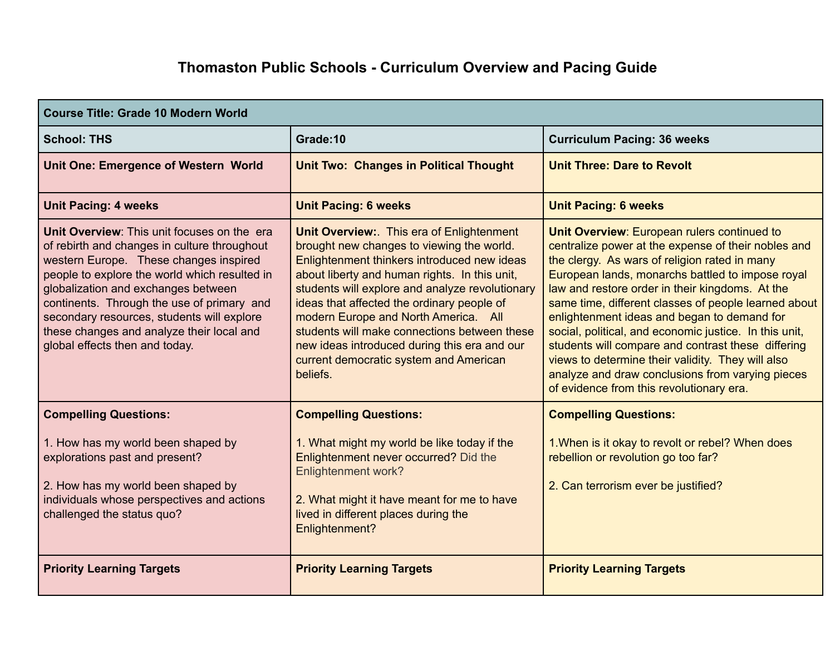## **Thomaston Public Schools - Curriculum Overview and Pacing Guide**

| <b>Course Title: Grade 10 Modern World</b>                                                                                                                                                                                                                                                                                                                                                               |                                                                                                                                                                                                                                                                                                                                                                                                                                                                                      |                                                                                                                                                                                                                                                                                                                                                                                                                                                                                                                                                                                                                                               |
|----------------------------------------------------------------------------------------------------------------------------------------------------------------------------------------------------------------------------------------------------------------------------------------------------------------------------------------------------------------------------------------------------------|--------------------------------------------------------------------------------------------------------------------------------------------------------------------------------------------------------------------------------------------------------------------------------------------------------------------------------------------------------------------------------------------------------------------------------------------------------------------------------------|-----------------------------------------------------------------------------------------------------------------------------------------------------------------------------------------------------------------------------------------------------------------------------------------------------------------------------------------------------------------------------------------------------------------------------------------------------------------------------------------------------------------------------------------------------------------------------------------------------------------------------------------------|
| <b>School: THS</b>                                                                                                                                                                                                                                                                                                                                                                                       | Grade:10                                                                                                                                                                                                                                                                                                                                                                                                                                                                             | <b>Curriculum Pacing: 36 weeks</b>                                                                                                                                                                                                                                                                                                                                                                                                                                                                                                                                                                                                            |
| <b>Unit One: Emergence of Western World</b>                                                                                                                                                                                                                                                                                                                                                              | <b>Unit Two: Changes in Political Thought</b>                                                                                                                                                                                                                                                                                                                                                                                                                                        | <b>Unit Three: Dare to Revolt</b>                                                                                                                                                                                                                                                                                                                                                                                                                                                                                                                                                                                                             |
| <b>Unit Pacing: 4 weeks</b>                                                                                                                                                                                                                                                                                                                                                                              | <b>Unit Pacing: 6 weeks</b>                                                                                                                                                                                                                                                                                                                                                                                                                                                          | <b>Unit Pacing: 6 weeks</b>                                                                                                                                                                                                                                                                                                                                                                                                                                                                                                                                                                                                                   |
| Unit Overview: This unit focuses on the era<br>of rebirth and changes in culture throughout<br>western Europe. These changes inspired<br>people to explore the world which resulted in<br>globalization and exchanges between<br>continents. Through the use of primary and<br>secondary resources, students will explore<br>these changes and analyze their local and<br>global effects then and today. | Unit Overview: This era of Enlightenment<br>brought new changes to viewing the world.<br>Enlightenment thinkers introduced new ideas<br>about liberty and human rights. In this unit,<br>students will explore and analyze revolutionary<br>ideas that affected the ordinary people of<br>modern Europe and North America. All<br>students will make connections between these<br>new ideas introduced during this era and our<br>current democratic system and American<br>beliefs. | <b>Unit Overview: European rulers continued to</b><br>centralize power at the expense of their nobles and<br>the clergy. As wars of religion rated in many<br>European lands, monarchs battled to impose royal<br>law and restore order in their kingdoms. At the<br>same time, different classes of people learned about<br>enlightenment ideas and began to demand for<br>social, political, and economic justice. In this unit,<br>students will compare and contrast these differing<br>views to determine their validity. They will also<br>analyze and draw conclusions from varying pieces<br>of evidence from this revolutionary era. |
| <b>Compelling Questions:</b><br>1. How has my world been shaped by<br>explorations past and present?<br>2. How has my world been shaped by<br>individuals whose perspectives and actions<br>challenged the status quo?                                                                                                                                                                                   | <b>Compelling Questions:</b><br>1. What might my world be like today if the<br>Enlightenment never occurred? Did the<br><b>Enlightenment work?</b><br>2. What might it have meant for me to have<br>lived in different places during the<br>Enlightenment?                                                                                                                                                                                                                           | <b>Compelling Questions:</b><br>1. When is it okay to revolt or rebel? When does<br>rebellion or revolution go too far?<br>2. Can terrorism ever be justified?                                                                                                                                                                                                                                                                                                                                                                                                                                                                                |
| <b>Priority Learning Targets</b>                                                                                                                                                                                                                                                                                                                                                                         | <b>Priority Learning Targets</b>                                                                                                                                                                                                                                                                                                                                                                                                                                                     | <b>Priority Learning Targets</b>                                                                                                                                                                                                                                                                                                                                                                                                                                                                                                                                                                                                              |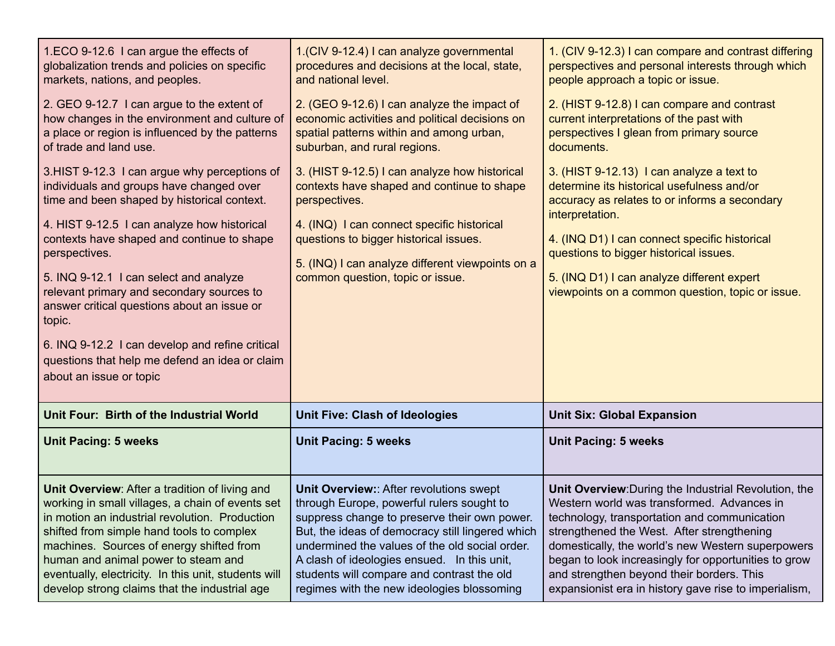| 1.ECO 9-12.6 I can argue the effects of<br>globalization trends and policies on specific<br>markets, nations, and peoples.<br>2. GEO 9-12.7 I can argue to the extent of<br>how changes in the environment and culture of<br>a place or region is influenced by the patterns<br>of trade and land use.<br>3.HIST 9-12.3 I can argue why perceptions of<br>individuals and groups have changed over<br>time and been shaped by historical context.<br>4. HIST 9-12.5 I can analyze how historical<br>contexts have shaped and continue to shape<br>perspectives.<br>5. INQ 9-12.1 I can select and analyze<br>relevant primary and secondary sources to<br>answer critical questions about an issue or<br>topic.<br>6. INQ 9-12.2 I can develop and refine critical<br>questions that help me defend an idea or claim<br>about an issue or topic | 1.(CIV 9-12.4) I can analyze governmental<br>procedures and decisions at the local, state,<br>and national level.<br>2. (GEO 9-12.6) I can analyze the impact of<br>economic activities and political decisions on<br>spatial patterns within and among urban,<br>suburban, and rural regions.<br>3. (HIST 9-12.5) I can analyze how historical<br>contexts have shaped and continue to shape<br>perspectives.<br>4. (INQ) I can connect specific historical<br>questions to bigger historical issues.<br>5. (INQ) I can analyze different viewpoints on a<br>common question, topic or issue. | 1. (CIV 9-12.3) I can compare and contrast differing<br>perspectives and personal interests through which<br>people approach a topic or issue.<br>2. (HIST 9-12.8) I can compare and contrast<br>current interpretations of the past with<br>perspectives I glean from primary source<br>documents.<br>3. (HIST 9-12.13) I can analyze a text to<br>determine its historical usefulness and/or<br>accuracy as relates to or informs a secondary<br>interpretation.<br>4. (INQ D1) I can connect specific historical<br>questions to bigger historical issues.<br>5. (INQ D1) I can analyze different expert<br>viewpoints on a common question, topic or issue. |
|-------------------------------------------------------------------------------------------------------------------------------------------------------------------------------------------------------------------------------------------------------------------------------------------------------------------------------------------------------------------------------------------------------------------------------------------------------------------------------------------------------------------------------------------------------------------------------------------------------------------------------------------------------------------------------------------------------------------------------------------------------------------------------------------------------------------------------------------------|------------------------------------------------------------------------------------------------------------------------------------------------------------------------------------------------------------------------------------------------------------------------------------------------------------------------------------------------------------------------------------------------------------------------------------------------------------------------------------------------------------------------------------------------------------------------------------------------|-----------------------------------------------------------------------------------------------------------------------------------------------------------------------------------------------------------------------------------------------------------------------------------------------------------------------------------------------------------------------------------------------------------------------------------------------------------------------------------------------------------------------------------------------------------------------------------------------------------------------------------------------------------------|
| Unit Four: Birth of the Industrial World                                                                                                                                                                                                                                                                                                                                                                                                                                                                                                                                                                                                                                                                                                                                                                                                        | <b>Unit Five: Clash of Ideologies</b>                                                                                                                                                                                                                                                                                                                                                                                                                                                                                                                                                          | <b>Unit Six: Global Expansion</b>                                                                                                                                                                                                                                                                                                                                                                                                                                                                                                                                                                                                                               |
| <b>Unit Pacing: 5 weeks</b>                                                                                                                                                                                                                                                                                                                                                                                                                                                                                                                                                                                                                                                                                                                                                                                                                     | <b>Unit Pacing: 5 weeks</b>                                                                                                                                                                                                                                                                                                                                                                                                                                                                                                                                                                    | <b>Unit Pacing: 5 weeks</b>                                                                                                                                                                                                                                                                                                                                                                                                                                                                                                                                                                                                                                     |
| Unit Overview: After a tradition of living and<br>working in small villages, a chain of events set<br>in motion an industrial revolution. Production                                                                                                                                                                                                                                                                                                                                                                                                                                                                                                                                                                                                                                                                                            | Unit Overview:: After revolutions swept<br>through Europe, powerful rulers sought to<br>suppress change to preserve their own power.                                                                                                                                                                                                                                                                                                                                                                                                                                                           | Unit Overview: During the Industrial Revolution, the<br>Western world was transformed. Advances in<br>technology, transportation and communication                                                                                                                                                                                                                                                                                                                                                                                                                                                                                                              |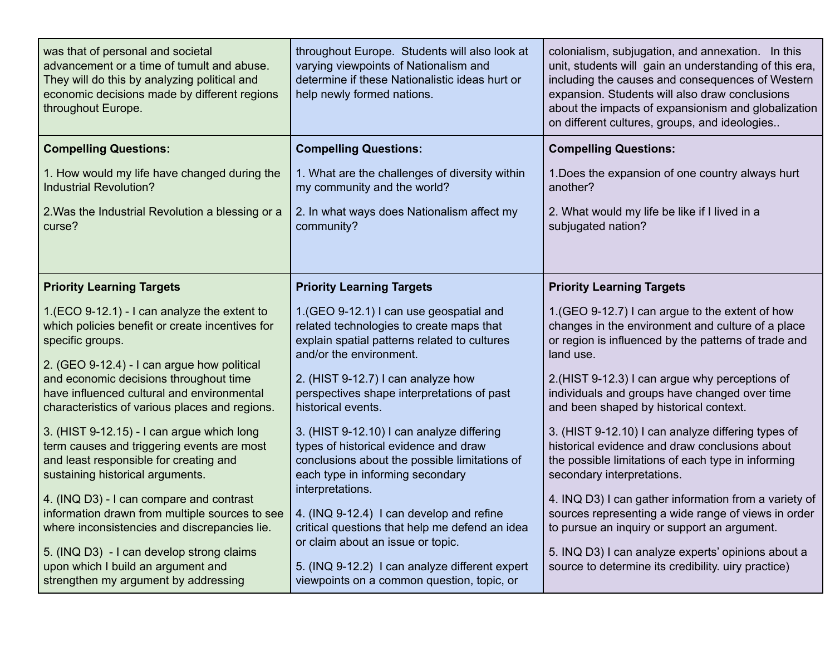| was that of personal and societal<br>advancement or a time of tumult and abuse.<br>They will do this by analyzing political and<br>economic decisions made by different regions<br>throughout Europe.                                                                                                                                                                                                                                           | throughout Europe. Students will also look at<br>varying viewpoints of Nationalism and<br>determine if these Nationalistic ideas hurt or<br>help newly formed nations.                                                                                                                                                                                                                                                         | colonialism, subjugation, and annexation. In this<br>unit, students will gain an understanding of this era,<br>including the causes and consequences of Western<br>expansion. Students will also draw conclusions<br>about the impacts of expansionism and globalization<br>on different cultures, groups, and ideologies                                                                                                                                             |
|-------------------------------------------------------------------------------------------------------------------------------------------------------------------------------------------------------------------------------------------------------------------------------------------------------------------------------------------------------------------------------------------------------------------------------------------------|--------------------------------------------------------------------------------------------------------------------------------------------------------------------------------------------------------------------------------------------------------------------------------------------------------------------------------------------------------------------------------------------------------------------------------|-----------------------------------------------------------------------------------------------------------------------------------------------------------------------------------------------------------------------------------------------------------------------------------------------------------------------------------------------------------------------------------------------------------------------------------------------------------------------|
| <b>Compelling Questions:</b>                                                                                                                                                                                                                                                                                                                                                                                                                    | <b>Compelling Questions:</b>                                                                                                                                                                                                                                                                                                                                                                                                   | <b>Compelling Questions:</b>                                                                                                                                                                                                                                                                                                                                                                                                                                          |
| 1. How would my life have changed during the<br><b>Industrial Revolution?</b>                                                                                                                                                                                                                                                                                                                                                                   | 1. What are the challenges of diversity within<br>my community and the world?                                                                                                                                                                                                                                                                                                                                                  | 1. Does the expansion of one country always hurt<br>another?                                                                                                                                                                                                                                                                                                                                                                                                          |
| 2. Was the Industrial Revolution a blessing or a<br>curse?                                                                                                                                                                                                                                                                                                                                                                                      | 2. In what ways does Nationalism affect my<br>community?                                                                                                                                                                                                                                                                                                                                                                       | 2. What would my life be like if I lived in a<br>subjugated nation?                                                                                                                                                                                                                                                                                                                                                                                                   |
| <b>Priority Learning Targets</b>                                                                                                                                                                                                                                                                                                                                                                                                                | <b>Priority Learning Targets</b>                                                                                                                                                                                                                                                                                                                                                                                               | <b>Priority Learning Targets</b>                                                                                                                                                                                                                                                                                                                                                                                                                                      |
| 1.(ECO 9-12.1) - I can analyze the extent to<br>which policies benefit or create incentives for<br>specific groups.<br>2. (GEO 9-12.4) - I can argue how political<br>and economic decisions throughout time<br>have influenced cultural and environmental<br>characteristics of various places and regions.                                                                                                                                    | 1.(GEO 9-12.1) I can use geospatial and<br>related technologies to create maps that<br>explain spatial patterns related to cultures<br>and/or the environment.<br>2. (HIST 9-12.7) I can analyze how<br>perspectives shape interpretations of past<br>historical events.                                                                                                                                                       | 1. (GEO 9-12.7) I can argue to the extent of how<br>changes in the environment and culture of a place<br>or region is influenced by the patterns of trade and<br>land use.<br>2.(HIST 9-12.3) I can argue why perceptions of<br>individuals and groups have changed over time<br>and been shaped by historical context.                                                                                                                                               |
| 3. (HIST 9-12.15) - I can argue which long<br>term causes and triggering events are most<br>and least responsible for creating and<br>sustaining historical arguments.<br>4. (INQ D3) - I can compare and contrast<br>information drawn from multiple sources to see<br>where inconsistencies and discrepancies lie.<br>5. (INQ D3) - I can develop strong claims<br>upon which I build an argument and<br>strengthen my argument by addressing | 3. (HIST 9-12.10) I can analyze differing<br>types of historical evidence and draw<br>conclusions about the possible limitations of<br>each type in informing secondary<br>interpretations.<br>4. (INQ 9-12.4) I can develop and refine<br>critical questions that help me defend an idea<br>or claim about an issue or topic.<br>5. (INQ 9-12.2) I can analyze different expert<br>viewpoints on a common question, topic, or | 3. (HIST 9-12.10) I can analyze differing types of<br>historical evidence and draw conclusions about<br>the possible limitations of each type in informing<br>secondary interpretations.<br>4. INQ D3) I can gather information from a variety of<br>sources representing a wide range of views in order<br>to pursue an inquiry or support an argument.<br>5. INQ D3) I can analyze experts' opinions about a<br>source to determine its credibility. uiry practice) |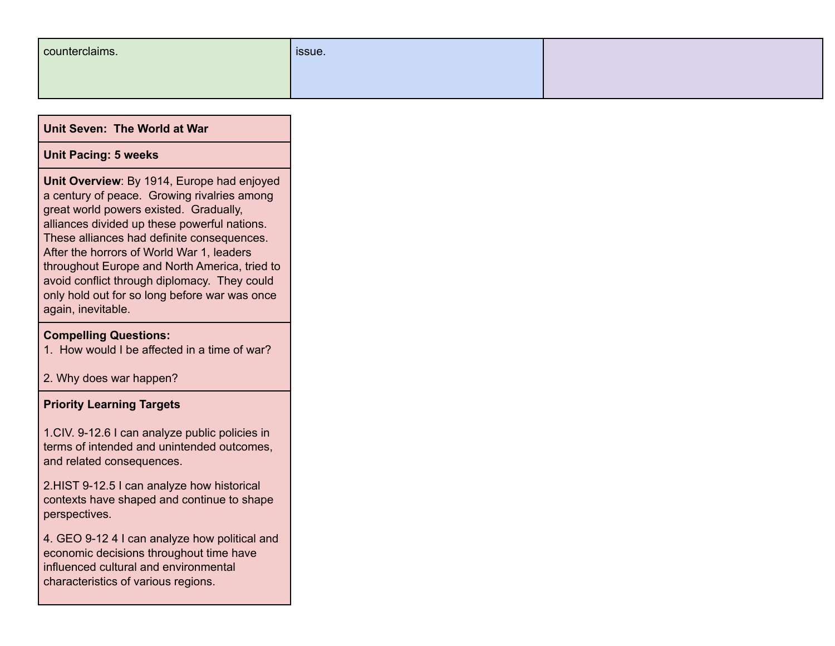| counterclaims. | sissue. |  |
|----------------|---------|--|
|                |         |  |

| <b>Unit Seven: The World at War</b>                                                                                                                                                                                                                                                                                                                                                                                                                    |  |
|--------------------------------------------------------------------------------------------------------------------------------------------------------------------------------------------------------------------------------------------------------------------------------------------------------------------------------------------------------------------------------------------------------------------------------------------------------|--|
| <b>Unit Pacing: 5 weeks</b>                                                                                                                                                                                                                                                                                                                                                                                                                            |  |
| Unit Overview: By 1914, Europe had enjoyed<br>a century of peace. Growing rivalries among<br>great world powers existed. Gradually,<br>alliances divided up these powerful nations.<br>These alliances had definite consequences.<br>After the horrors of World War 1, leaders<br>throughout Europe and North America, tried to<br>avoid conflict through diplomacy. They could<br>only hold out for so long before war was once<br>again, inevitable. |  |
| <b>Compelling Questions:</b><br>1. How would I be affected in a time of war?                                                                                                                                                                                                                                                                                                                                                                           |  |
| 2. Why does war happen?                                                                                                                                                                                                                                                                                                                                                                                                                                |  |
| <b>Priority Learning Targets</b>                                                                                                                                                                                                                                                                                                                                                                                                                       |  |
| 1. CIV. 9-12.6 I can analyze public policies in<br>terms of intended and unintended outcomes,                                                                                                                                                                                                                                                                                                                                                          |  |

and related consequences.

2.HIST 9-12.5 I can analyze how historical contexts have shaped and continue to shape perspectives.

4. GEO 9-12 4 I can analyze how political and economic decisions throughout time have influenced cultural and environmental characteristics of various regions.